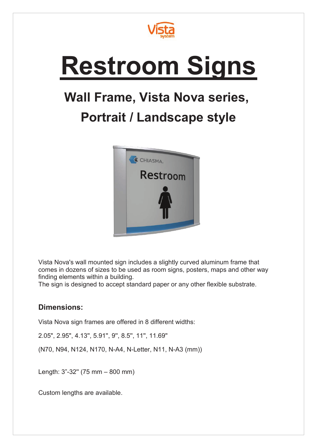

## **Restroom Signs**

## **Wall Frame, Vista Nova series,**

## **Portrait / Landscape style**



Vista Nova's wall mounted sign includes a slightly curved aluminum frame that comes in dozens of sizes to be used as room signs, posters, maps and other way finding elements within a building.

The sign is designed to accept standard paper or any other flexible substrate.

## **Dimensions:**

Vista Nova sign frames are offered in 8 different widths:

2.05", 2.95", 4.13'', 5.91'', 9'', 8.5'', 11'', 11.69''

(N70, N94, N124, N170, N-A4, N-Letter, N11, N-A3 (mm))

Length: 3"-32'' (75 mm – 800 mm)

Custom lengths are available.